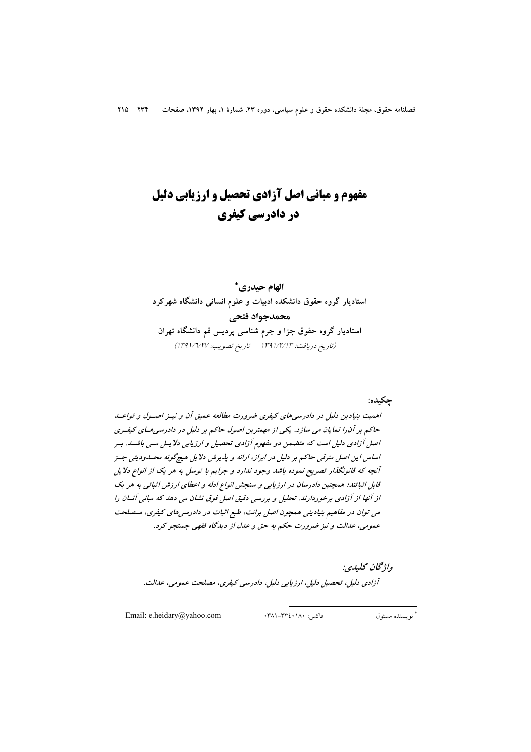# مفهوم و مبانی اصل آزادی تحصیل و ارزیابی دلیل در دادرسی کیفری

# الهام حيدري\* استادیار گروه حقوق دانشکده ادبیات و علوم انسانی دانشگاه شهرکرد محمدجواد فتحي استادیار گروه حقوق جزا و جرم شناسی پردیس قم دانشگاه تهران (تاريخ دريافت: ١٣٩١/٢/١٣ - تاريخ تصويب: ١٣٩١/٦/٢٧)

اهمیت بنیادین دلیل در دادرسی های کیفری ضرورت مطالعه عمیق آن و نیبز اصبول و قواعبد حاکم بر آن را نمایان می سازد. یکی از مهمترین اصول حاکم بر دلیل در دادرسی های کیفـری اصل آزادی دلیل است که متضمن دو مفهوم آزادی تحصیل و ارزیابی دلایسل مسی باشسه. بسر اساس این اصل مترقبی حاکم بر دلیل در ابراز، ارائه و پذیرش دلایل هیچگونه محسدودیتی جسز آنچه که قانونگذار تصریح نموده باشد وجود ندارد و جرایم با توسل به هر یک از انواع دلایل قابل اثباتند؛ همچنین دادرسان در ارزیابی و سنجش انواع ادله و اعطای ارزش اثباتی به هر یک از آنها از آزادی برخوردارند. تحلیل و بررسی دقیق اصل فوق نشان می دهد که مبانی آنسان را می توان در مفاهیم بنیادینی همچون اصل برائت، طبع اثبات در دادرسی های کیفری، مـصلحت عمومي، عدالت و نيز ضرورت حكم به حق و عدل از ديدگاه فقهي جستجو كرد.

واژىحان كىلىدى: آزادی دلیل، تحصیل دلیل، ارزیابی دلیل، دادرسی کیفری، مصلحت عمومی، عدالت.

Email: e.heidary@yahoo.com

فاكس: ۰۳۸۱–۳۳۲-۰۳۸۱

\* نو ىسندە مسئول

چکيده: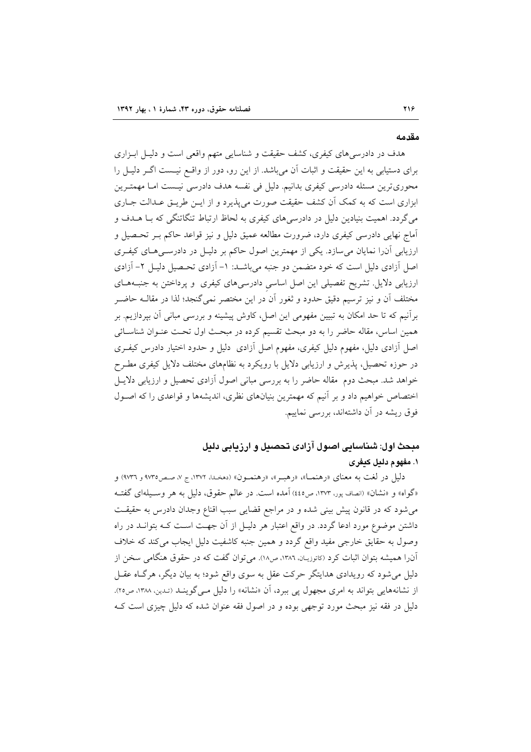#### مقدمه

هدف در دادرسی های کیفری، کشف حقیقت و شناسایی متهم واقعی است و دلیـل ابـزاری برای دستیابی به این حقیقت و اثبات آن میباشد. از این رو، دور از واقــع نیــست اگــر دلیــل را محوریترین مسئله دادرسی کیفری بدانیم. دلیل فی نفسه هدف دادرسی نیست امـا مهمتـرین ابزاری است که به کمک آن کشف حقیقت صورت می پذیرد و از ایــن طریــق عــدالت جــاری میگردد. اهمیت بنیادین دلیل در دادرسیهای کیفری به لحاظ ارتباط تنگاتنگی که بـا هــدف و آماج نهایی دادرسی کیفری دارد، ضرورت مطالعه عمیق دلیل و نیز قواعد حاکم بـر تحـصیل و ارزیابی آن(ا نمایان می سازد. یکی از مهمترین اصول حاکم بر دلیـل در دادرسـی هـای کیفـری اصل آزادی دلیل است که خود متضمن دو جنبه میباشـد: ۱- آزادی تحـصیل دلیـل ۲- آزادی ارزیابی دلایل. تشریح تفصیلی این اصل اساسی دادرسیهای کیفری و پرداختن به جنبـههـای مختلف آن و نیز ترسیم دقیق حدود و ثغور آن در این مختصر نمیگنجد؛ لذا در مقالــه حاضــر برآنیم که تا حد امکان به تبیین مفهومی این اصل، کاوش پیشینه و بررسی مبانی آن بپردازیم. بر همین اساس، مقاله حاضر را به دو مبحث تقسیم کرده در مبحث اول تحت عنـوان شناسـائـی اصل آزادی دلیل، مفهوم دلیل کیفری، مفهوم اصل آزادی ِ دلیل و حدود اختیار دادرس کیفـری در حوزه تحصیل، پذیرش و ارزیابی دلایل با رویکرد به نظامهای مختلف دلایل کیفری مطـرح خواهد شد. مبحث دوم مقاله حاضر را به بررسی مبانی اصول آزادی تحصیل و ارزیابی دلایـل اختصاص خواهیم داد و بر آنیم که مهمترین بنیانهای نظری، اندیشهها و قواعدی را که اصـول فوق ریشه در آن داشتهاند، بررسی نماییم.

# مبحث اول: شناسایی اصول آزادی تحصیل و ارزیابی دلیل ۱. مفهوم دليل کيفري

دليل در لغت به معناي «رهنمـا»، «رهبـر»، «رهنمـون» (دهخـدا، ١٣٧٢، ج ٧، صـص١٧٣٥ و ٩٧٣٦) و «گواه» و «نشان» (انصاف پور، ۱۳۷۳، ص٤٤٥) آمده است. در عالم حقوق، دلیل به هر وسـیلهای گفتـه می شود که در قانون پیش بینی شده و در مراجع قضایی سبب اقناع وجدان دادرس به حقیقت داشتن موضوع مورد ادعا گردد. در واقع اعتبار هر دلیـل از آن جهـت اسـت کـه بتوانــد در راه وصول به حقایق خارجی مفید واقع گردد و همین جنبه کاشفیت دلیل ایجاب می کند که خلاف آن**را همیشه بتوان اثبات کرد (کاتوزی**ان، ۱۳۸۶، ص۱۸). میتوان گفت که در حقوق هنگامی سخن از دلیل می شود که رویدادی هدایتگر حرکت عقل به سوی واقع شود؛ به بیان دیگر، هرگاه عقـل از نشانههایی بتواند به امری مجهول یی ببرد، آن «نشانه» را دلیل مـی گوینـد (تـدین، ۱۳۸۸، ص۲۰). دلیل در فقه نیز مبحث مورد توجهی بوده و در اصول فقه عنوان شده که دلیل چیزی است ک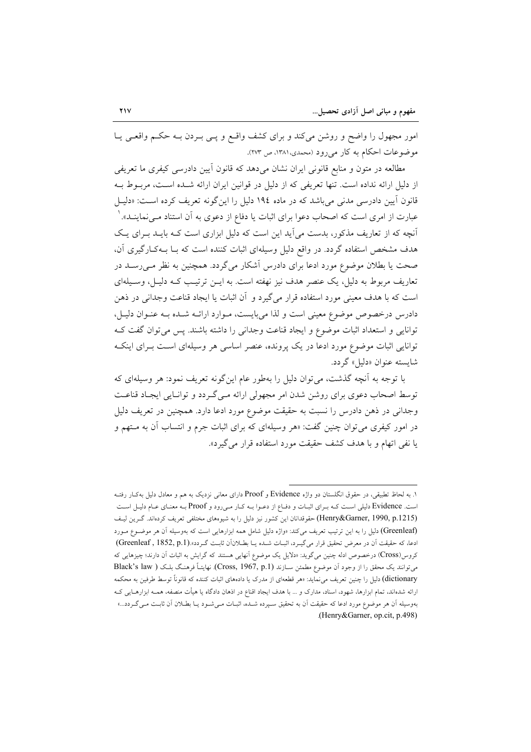امور مجهول را واضح و روشن میکند و برای کشف واقع و پــی بــردن بــه حکــم واقعــی پــا موضوعات احکام به کار میرود (محمدی، ۱۳۸۱، ص ۲۷۳).

مطالعه در متون و منابع قانونی ایران نشان میدهد که قانون أیین دادرسی کیفری ما تعریفی از دلیل ارائه نداده است. تنها تعریفی که از دلیل در قوانین ایران ارائه شـده اسـت، مربـوط بـه قانون آیین دادرسی مدنی می باشد که در ماده ۱۹٤ دلیل را این گونه تعریف کرده است: «دلیـل عبارت از امری است که اصحاب دعوا برای اثبات یا دفاع از دعوی به آن استناد مــیiماینــد». ` آنچه که از تعاریف مذکور، بدست می آید این است که دلیل ابزاری است کـه بایـد بـرای یـک هدف مشخص استفاده گردد. در واقع دلیل وسیلهای اثبات کننده است که بـا بـهکـارگیری آن، صحت یا بطلان موضوع مورد ادعا برای دادرس آشکار میگردد. همچنین به نظر مـ<sub>ـی</sub>رســد در تعاریف مربوط به دلیل، یک عنصر هدف نیز نهفته است. به ایــن ترتیـب کــه دلیــل، وســیلهای است که با هدف معینی مورد استفاده قرار میگیرد و آن اثبات یا ایجاد قناعت وجدانی در ذهن دادرس درخصوص موضوع معینی است و لذا میبایست، مـوارد ارائـه شـده بـه عنـوان دليـل، توانایی و استعداد اثبات موضوع و ایجاد قناعت وجدانی را داشته باشند. پس می توان گفت ک توانایی اثبات موضوع مورد ادعا در یک پرونده، عنصر اساسی هر وسیلهای است بـرای اینکـه شايسته عنوان «دليل» گردد.

با توجه به آنچه گذشت، می توان دلیل را بهطور عام این گونه تعریف نمود: هر وسیلهای که توسط اصحاب دعوی برای روشن شدن امر مجهولی ارائه میگردد و توانایی ایجاد قناعت وجدانی در ذهن دادرس را نسبت به حقیقت موضوع مورد ادعا دارد. همچنین در تعریف دلیل در امور کیفری می توان چنین گفت: «هر وسیلهای که برای اثبات جرم و انتساب آن به مـتهم و یا نفی اتهام و با هدف کشف حقیقت مورد استفاده قرار می گیرد».

۱. به لحاظ تطبیقی، در حقوق انگلستان دو واژه Evidence و Proof دارای معانی نزدیک به هم و معادل دلیل بهکـار رفتـه است. Evidence دلیلی است کـه بـرای اثبـات و دفـاع از دعـوا بـه کـار مـیرود و Proof بـه معنـای عـام دليـل اسـت (Henry&Garner, 1990, p.1215) حقوقدانان این کشور نیز دلیل را به شیوههای مختلفی تعریف کردهاند. گـرین لیـف (Greenleaf) دلیل را به این ترتیب تعریف میکند: «واژه دلیل شامل همه ابزارهایی است که بهوسیله آن هر موضـوع مـورد ادعا، كه حقيقت آن در معرض تحقيق قرار مي گيرد، اثبـات شـده يـا بطـلانآن ثابـت گـردد».(Greenleaf , 1852, p.1) کروس(Cross) درخصوص ادله چنین می گوید: «دلایل یک موضوع آنهایی هستند که گرایش به اثبات آن دارند؛ چیزهایی که می توانند یک محقق را از وجود آن موضوع مطمئن سـازند (Cross, 1967, p.1). نهایتـاً فرهنگ بلـک ( Black's law dictionary) دلیل را چنین تعریف می(ماید: «هر قطعهای از مدرک یا دادههای اثبات کننده که قانوناً توسط طرفین به محکمه ارائه شدهاند، تمام ابزارها، شهود، اسناد، مدارک و … با هدف ایجاد اقناع در اذهان دادگاه یا هیأت منصفه، همــه ابزارهــایی کــه بهوسیله آن هر موضوع مورد ادعا که حقیقت اَن به تحقیق سـپرده شـده، اثبـات مـیشـود یـا بطـلان اَن ثابـت مـیگـردد...» (Henry&Garner, op.cit, p.498)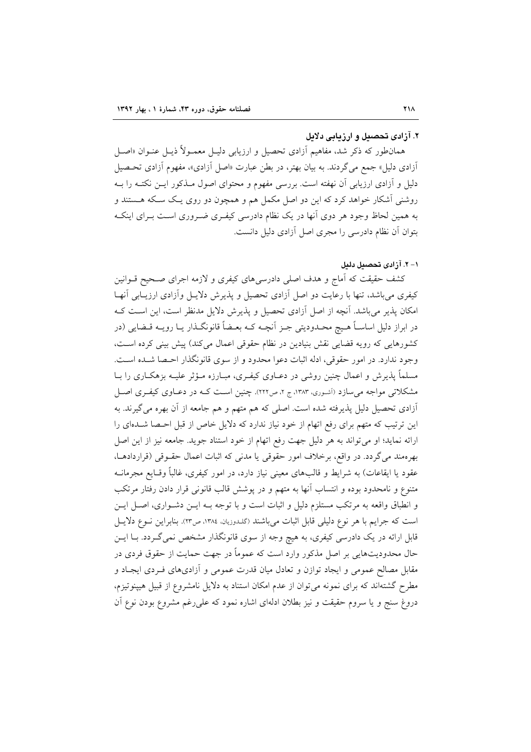### ۲. آزادی تحصیل و ارزیابی دلایل

همانطور که ذکر شد، مفاهیم آزادی تحصیل و ارزیابی دلیـل معمـولاً ذیـل عنـوان «اصـل آزادی دلیل» جمع میگردند. به بیان بهتر، در بطن عبارت «اصل آزادی»، مفهوم آزادی تحـصیل دلیل و آزادی ارزیابی آن نهفته است. بررسی مفهوم و محتوای اصول مــذکور ایــن نکتــه را بــه روشنی آشکار خواهد کرد که این دو اصل مکمل هم و همچون دو روی یـک سـکه هــستند و به همین لحاظ وجود هر دوی آنها در یک نظام دادرسی کیفـری ضـروری اسـت بـرای اینکـه بتوان آن نظام دادرسی را مجری اصل آزادی دلیل دانست.

١- ٢. آزادي تحصيل دليل

کشف حقیقت که آماج و هدف اصلی دادرسی های کیفری و لازمه اجرای صحیح قــوانین کیفری می باشد، تنها با رعایت دو اصل آزادی تحصیل و پذیرش دلایـل وآزادی ارزیــابی آنهــا امکان پذیر می باشد. آنچه از اصل آزادی تحصیل و پذیرش دلایل مدنظر است، این است ک در ابراز دلیل اساسـاً هـیج محـدودیتی جـز آنچـه کـه بعـضاً قانونگـذار یــا رویــه قــضایی (در كشورهايي كه رويه قضايي نقش بنيادين در نظام حقوقي اعمال مي كند) پيش بيني كرده است، وجود ندارد. در امور حقوقي، ادله اثبات دعوا محدود و از سوى قانونگذار احـصا شـده اسـت. مسلماً پذیرش و اعمال چنین روشی در دعــاوی کیفــری، مبــارزه مــؤثر علیــه بزهکــاری را بــا مشکلاتی مواجه میسازد (آشوری، ۱۳۸۳، ج ۲، ص۲۲۲). چنین اسـت کـه در دعـاوی کیفـری اصـل آزادی تحصیل دلیل پذیرفته شده است. اصلی که هم متهم و هم جامعه از آن بهره می گیرند. به این ترتیب که متهم برای رفع اتهام از خود نیاز ندارد که دلایل خاص از قبل احـصا شــدهای را ارائه نمايد؛ او مي تواند به هر دليل جهت رفع اتهام از خود استناد جويد. جامعه نيز از اين اصل بهرهمند مي گردد. در واقع، برخلاف امور حقوقي يا مدنى كه اثبات اعمال حقـوقي (قراردادهــا، عقود یا ایقاعات) به شرایط و قالبهای معینی نیاز دارد، در امور کیفری، غالباً وقـایع مجرمانــه متنوع و نامحدود بوده و انتساب آنها به متهم و در پوشش قالب قانونی قرار دادن رفتار مرتکب و انطباق واقعه به مرتکب مستلزم دلیل و اثبات است و با توجه بـه ایــن دشـواری، اصـل ایــن است که جرایم با هر نوع دلیلی قابل اثبات میباشند (گلـدوزیان، ۱۳۸٤، ص۳۳). بنابراین نــوع دلایــل قابل ارائه در یک دادرسی کیفری، به هیچ وجه از سوی قانونگذار مشخص نمی گـردد. بــا ایــن حال محدودیتهایی بر اصل مذکور وارد است که عموماً در جهت حمایت از حقوق فردی در مقابل مصالح عمومی و ایجاد توازن و تعادل میان قدرت عمومی و آزادیهای فـردی ایجـاد و مطرح گشتهاند که برای نمونه میتوان از عدم امکان استناد به دلایل نامشروع از قبیل هیپنوتیزم، دروغ سنج و یا سروم حقیقت و نیز بطلان ادلهای اشاره نمود که علی رغم مشروع بودن نوع آن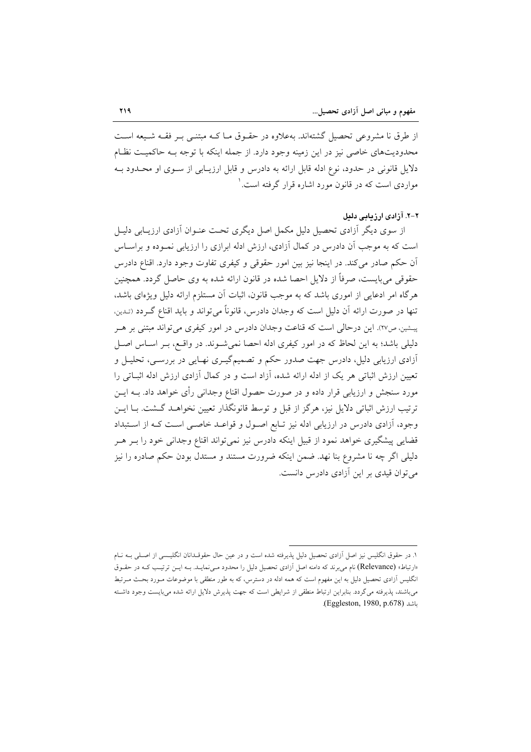از طرق نا مشروعی تحصیل گشتهاند. بهعلاوه در حقـوق مـا کـه مبتنـی بـر فقـه شـیعه اسـت محدودیتهای خاصی نیز در این زمینه وجود دارد. از جمله اینکه با توجه بـه حاکمیـت نظـام دلایل قانونی در حدود، نوع ادله قابل ارائه به دادرس و قابل ارزیـابی از سـوی او محـدود بـه مواردی است که در قانون مورد اشاره قرار گرفته است. ٰ

#### ۲-۲. آزادی ارزیابی دلیل

از سوی دیگر آزادی تحصیل دلیل مکمل اصل دیگری تحت عنـوان آزادی ارزیـابی دلیـا است که به موجب آن دادرس در کمال آزادی، ارزش ادله ابرازی را ارزیابی نمـوده و براسـاس ان حکم صادر میکند. در اینجا نیز بین امور حقوقی و کیفری تفاوت وجود دارد. اقناع دادرس حقوقی می بایست، صرفاً از دلایل احصا شده در قانون ارائه شده به وی حاصل گردد. همچنین هرگاه امر ادعایی از اموری باشد که به موجب قانون، اثبات آن مستلزم ارائه دلیل ویژهای باشد، تنها در صورت ارائه آن دلیل است که وجدان دادرس، قانوناً می تواند و باید اقناع گـردد (تـدین. پیشین، ص٢٧). این درحالی است که قناعت وجدان دادرس در امور کیفری می تواند مبتنی بر هـر دلیلی باشد؛ به این لحاظ که در امور کیفری ادله احصا نمیشوند. در واقع، بـر اسـاس اصـل آزادی ارزیابی دلیل، دادرس جهت صدور حکم و تصمیمگیـری نهـایی در بررسـی، تحلیـل و تعیین ارزش اثباتی هر یک از ادله ارائه شده، آزاد است و در کمال آزادی ارزش ادله اثبـاتی را مورد سنجش و ارزیابی قرار داده و در صورت حصول اقناع وجدانی رأی خواهد داد. بــه ایــن ترتیب ارزش اثباتی دلایل نیز، هرگز از قبل و توسط قانونگذار تعیین نخواهـد گــشت. بـا ایــن وجود، أزادي دادرس در ارزيابي ادله نيز تـابع اصـول و قواعـد خاصـي اسـت كـه از اسـتبداد قضایی پیشگیری خواهد نمود از قبیل اینکه دادرس نیز نمیتواند اقناع وجدانی خود را بـر هـر دلیلی اگر چه نا مشروع بنا نهد. ضمن اینکه ضرورت مستند و مستدل بودن حکم صادره را نیز می توان قیدی بر این آزادی دادرس دانست.

١. در حقوق انگلیس نیز اصل آزادی تحصیل دلیل پذیرفته شده است و در عین حال حقوقـدانان انگلیـسی از اصـلی بــه نــام «ارتباط» (Relevance) نام می برند که دامنه اصل آزادی تحصیل دلیل را محدود مـی نمایـد. بـه ایـن ترتیـب کـه در حقـوق انگلیس آزادی تحصیل دلیل به این مفهوم است که همه ادله در دسترس، که به طور منطقی با موضوعات مـورد بحـث مـرتبط می باشند، پذیرفته می گردد. بنابراین ارتباط منطقی از شرایطی است که جهت پذیرش دلایل ارائه شده می بایست وجود داشته .(Eggleston, 1980, p.678)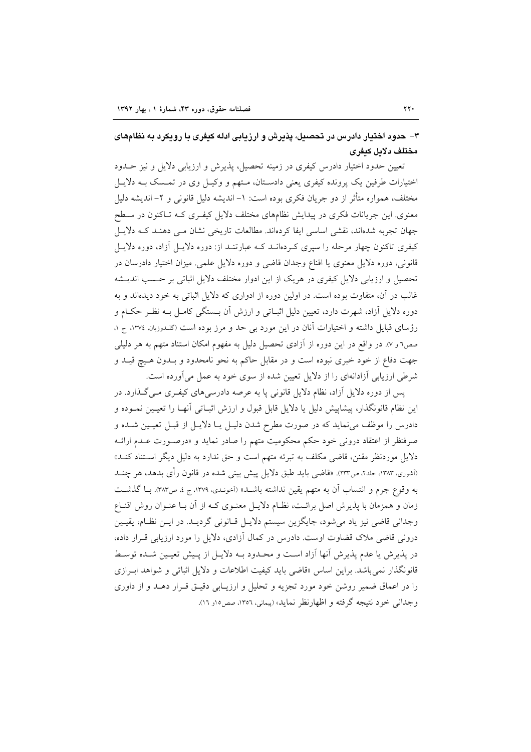۳– حدود اختیار دادرس در تحصیل، پذیرش و ارزیابی ادله کیفری با رویکرد به نظامهای مختلف دلايل كيفرى

تعیین حدود اختیار دادرس کیفری در زمینه تحصیل، پذیرش و ارزیابی دلایل و نیز حــدود اختیارات طرفین یک پرونده کیفری یعنی دادستان، مـتهم و وکیـل وی در تمـسک بــه دلایـل مختلف، همواره متأثَّر از دو جريان فكرى بوده است: ١– انديشه دليل قانوني و ٢– انديشه دليل معنوی. این جریانات فکری در پیدایش نظامهای مختلف دلایل کیفـری کـه تـاکنون در سـطح جهان تجربه شدهاند، نقشی اساسی ایفا کردهاند. مطالعات تاریخی نشان مـی دهنـد کـه دلایـل کیفری تاکنون چهار مرحله را سپری کـردهانــد کــه عبارتنــد از: دوره دلايــل آزاد، دوره دلايــل قانونی، دوره دلایل معنوی یا اقناع وجدان قاضی و دوره دلایل علمی. میزان اختیار دادرسان در تحصیل و ارزیابی دلایل کیفری در هریک از این ادوار مختلف دلایل اثباتی بر حسب اندیـشه غالب در آن، متفاوت بوده است. در اولین دوره از ادواری که دلایل اثباتی به خود دیدهاند و به دوره دلایل آزاد، شهرت دارد، تعیین دلیل اثبـاتی و ارزش آن بـستگی کامـل بــه نظـر حکــام و رؤسای قبایل داشته و اختیارات آنان در این مورد بی حد و مرز بوده است (گلدوزیان، ۱۳۷٤، ج ۱. صص٦ و ٧). در واقع در اين دوره از آزادي تحصيل دليل به مفهوم امكان استناد متهم به هر دليلي جهت دفاع از خود خبری نبوده است و در مقابل حاکم به نحو نامحدود و بـدون هـیچ قیـد و شرطی ارزیابی آزادانهای را از دلایل تعیین شده از سوی خود به عمل میآورده است.

پس از دوره دلایل اَزاد، نظام دلایل قانونی پا به عرصه دادرسیهای کیفـری مـیگـذارد. در این نظام قانونگذار، پیشاپیش دلیل یا دلایل قابل قبول و ارزش اثبـاتی آنهـا را تعیـین نمـوده و دادرس را موظف می نماید که در صورت مطرح شدن دلیـل یــا دلایــل از قبــل تعیــین شــده و صرفنظر از اعتقاد درونی خود حکم محکومیت متهم را صادر نماید و «درصـورت عــدم ارائــه دلایل موردنظر مقنن، قاضی مکلف به تبرئه متهم است و حق ندارد به دلیل دیگر استناد کنـد» (أشوري، ١٣٨٣، جلد٢، ص٢٣٣). «قاضي بايد طبق دلايل پيش بيني شده در قانون رأي بدهد، هر چنــد به وقوع جرم و انتساب أن به متهم يقين نداشته باشـد» (آخونـدي، ١٣٧٩، ج ٤، ص٣٨٣. بــا گذشــت زمان و همزمان با پذیرش اصل برائـت، نظـام دلایـل معنــوی کــه از آن بــا عنــوان روش اقنــاع وجدانی قاضی نیز یاد می شود، جایگزین سیستم دلایـل قـانونی گردیـد. در ایـن نظـام، یقیـین درونی قاضی ملاک قضاوت اوست. دادرس در کمال آزادی، دلایل را مورد ارزیابی قــرار داده، در پذیرش یا عدم پذیرش آنها آزاد است و محـدود بــه دلایــل از پــیش تعیــین شــده توسـط قانونگذار نمی باشد. براین اساس «قاضی باید کیفیت اطلاعات و دلایل اثباتی و شواهد ابرازی را در اعماق ضمیر روشن خود مورد تجزیه و تحلیل و ارزیـابی دقیـق قـرار دهـد و از داوری و جداني خود نتيجه گرفته و اظهارنظر نمايد» (پيماني، ١٣٥٦، صص١ور ١٦).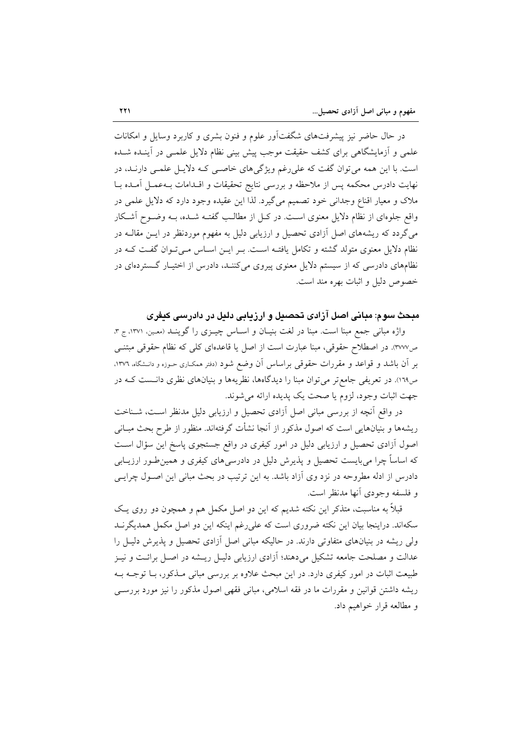در حال حاضر نیز پیشرفتهای شگفتآور علوم و فنون بشری و کاربرد وسایل و امکانات علمی و آزمایشگاهی برای کشف حقیقت موجب پیش بینی نظام دلایل علمـی در آینـده شـده است. با این همه می توان گفت که علی رغم ویژگیهای خاصبی کـه دلایـل علمـی دارنـد، در نهايت دادرس محكمه پس از ملاحظه و بررسی نتايج تحقيقات و اقــدامات بــهعمــل آمــده بــا ملاک و معیار اقناع وجدانی خود تصمیم میگیرد. لذا این عقیده وجود دارد که دلایل علمی در واقع جلوهای از نظام دلایل معنوی است. در کـل از مطالـب گفتـه شـده، بـه وضـوح آشـکار میگردد که ریشههای اصل آزادی تحصیل و ارزیابی دلیل به مفهوم موردنظر در ایــن مقالــه در نظام دلایل معنوی متولد گشته و تکامل یافتـه اسـت. بـر ایـن اسـاس مـیتوان گفـت کـه در نظامهای دادرسی که از سیستم دلایل معنوی پیروی میکننـد، دادرس از اختیـار گــستر دهای در خصوص دليل و اثبات بهره مند است.

# مبحث سوم: مبانی اصل آزادی تحصیل و ارزیابی دلیل در دادرسی کیفری

واژه مبانی جمع مبنا است. مبنا در لغت بنیـان و اسـاس چیــزی را گوینــد (معـین ١٣٧١، ج ٣، ص٣٧٧). در اصطلاح حقوقي، مبنا عبارت است از اصل يا قاعدهاي كلي كه نظام حقوقي مبتنـي بر آن باشد و قواعد و مقررات حقوقی براساس آن وضع شود (دفتر ممکـاری حـوزه و دانــشگاه، ١٣٧٦، ص١٦٩). در تعریفی جامع تر می توان مبنا را دیدگاهها، نظریهها و بنیانهای نظری دانست کـه در جهت اثبات وجود، لزوم يا صحت يک پديده ارائه مي شوند.

در واقع أنچه از بررسی مبانی اصل آزادی تحصیل و ارزیابی دلیل مدنظر است، شـناخت ریشهها و بنیانهایی است که اصول مذکور از آنجا نشأت گرفتهاند. منظور از طرح بحث مبـانی اصول آزادی تحصیل و ارزیابی دلیل در امور کیفری در واقع جستجوی پاسخ این سؤال است که اساساً چرا میبایست تحصیل و پذیرش دلیل در دادرسی۵ای کیفری و همین طور ارزیـابی دادرس از ادله مطروحه در نزد وی آزاد باشد. به این ترتیب در بحث مبانی این اصـول چرایـی و فلسفه وجودي أنها مدنظر است.

قبلاً به مناسبت، متذکر این نکته شدیم که این دو اصل مکمل هم و همچون دو روی یک سکهاند. دراینجا بیان این نکته ضروری است که علی(غم اینکه این دو اصل مکمل همدیگرنـد ولی ریشه در بنیانهای متفاوتی دارند. در حالیکه مبانی اصل آزادی تحصیل و پذیرش دلیـل را عدالت و مصلحت جامعه تشکیل میدهند؛ آزادی ارزیابی دلیـل ریــشه در اصـل برائـت و نیــز طبیعت اثبات در امور کیفری دارد. در این مبحث علاوه بر بررسی مبانی مـذکور، بــا توجــه بــه ریشه داشتن قوانین و مقررات ما در فقه اسلامی، مبانی فقهی اصول مذکور را نیز مورد بررســی و مطالعه قرار خواهیم داد.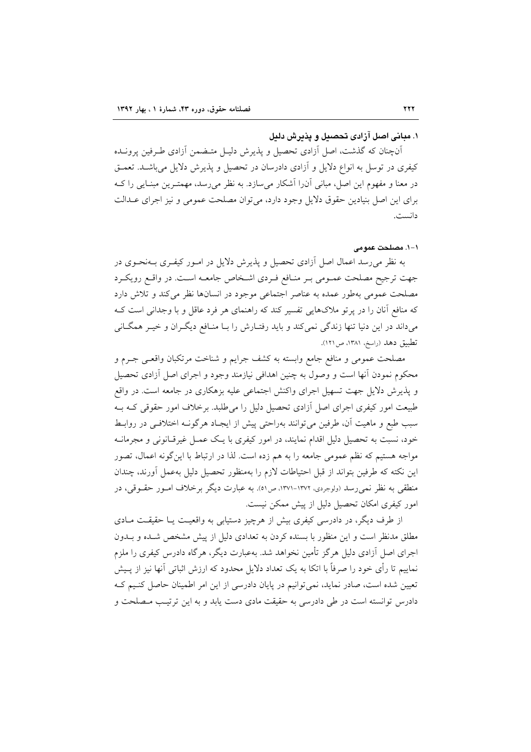### ١. مبانی اصل آزادی تحصیل و پذیرش دلیل

آنچنان که گذشت، اصل آزادی تحصیل و پذیرش دلیـل متـضمن آزادی طـرفین پرونـده کیفری در توسل به انواع دلایل و آزادی دادرسان در تحصیل و پذیرش دلایل میباشـد. تعمـق در معنا و مفهوم این اصل، مبانی آن(ا آشکار میسازد. به نظر می رسد، مهمتـرین مبنـایی را کــه برای این اصل بنیادین حقوق دلایل وجود دارد، می توان مصلحت عمومی و نیز اجرای عـدالت دانست.

١-١. مصلحت عمومي

به نظر میرسد اعمال اصل آزادی تحصیل و پذیرش دلایل در امـور کیفـری بــهنحــوی در جهت ترجیح مصلحت عمـومی بـر منـافع فـردی اشـخاص جامعـه اسـت. در واقـع رویکـرد مصلحت عمومی بهطور عمده به عناصر اجتماعی موجود در انسانها نظر می کند و تلاش دارد که منافع آنان را در پرتو ملاکهایی تفسیر کند که راهنمای هر فرد عاقل و با وجدانی است ک میداند در این دنیا تنها زندگی نمی کند و باید رفتـارش را بـا منـافع دیگـران و خیـر همگـانی تطبيق دهد (راسخ، ١٣٨١، ص ١٢١).

مصلحت عمومی و منافع جامع وابسته به کشف جرایم و شناخت مرتکبان واقعـی جــرم و محکوم نمودن آنها است و وصول به چنین اهدافی نیازمند وجود و اجرای اصل آزادی تحصیل و پذیرش دلایل جهت تسهیل اجرای واکنش اجتماعی علیه بزهکاری در جامعه است. در واقع طبیعت امور کیفری اجرای اصل آزادی تحصیل دلیل را می طلبد. برخلاف امور حقوقی کـه بـه سبب طبع و ماهيت آن، طرفين مي توانند بهراحتي پيش از ايجـاد هرگونــه اختلافــي در روابــط خود، نسبت به تحصیل دلیل اقدام نمایند، در امور کیفری با یک عمــل غیرقــانونی و مجرمانــه مواجه هستیم که نظم عمومی جامعه را به هم زده است. لذا در ارتباط با این گونه اعمال، تصور این نکته که طرفین بتواند از قبل احتیاطات لازم را بهمنظور تحصیل دلیل بهعمل أورند، چندان منطقی به نظر نمی رسد (ولوجردی، ۱۳۷۲-۱۳۷۱، ص۱٥). به عبارت دیگر برخلاف امبور حقبوقی، در امور کیفری امکان تحصیل دلیل از پیش ممکن نیست.

از طرف دیگر، در دادرسی کیفری بیش از هرچیز دستیابی به واقعیت یـا حقیقـت مـادی مطلق مدنظر است و این منظور با بسنده کردن به تعدادی دلیل از پیش مشخص شـده و بـدون اجرای اصل آزادی دلیل هرگز تأمین نخواهد شد. بهعبارت دیگر، هرگاه دادرس کیفری را ملزم نماییم تا رأی خود را صرفاً با اتکا به یک تعداد دلایل محدود که ارزش اثباتی آنها نیز از پـیش تعیین شده است، صادر نماید، نمی توانیم در پایان دادرسی از این امر اطمینان حاصل کنیم ک دادرس توانسته است در طی دادرسی به حقیقت مادی دست پاید و به این ترتیب منصلحت و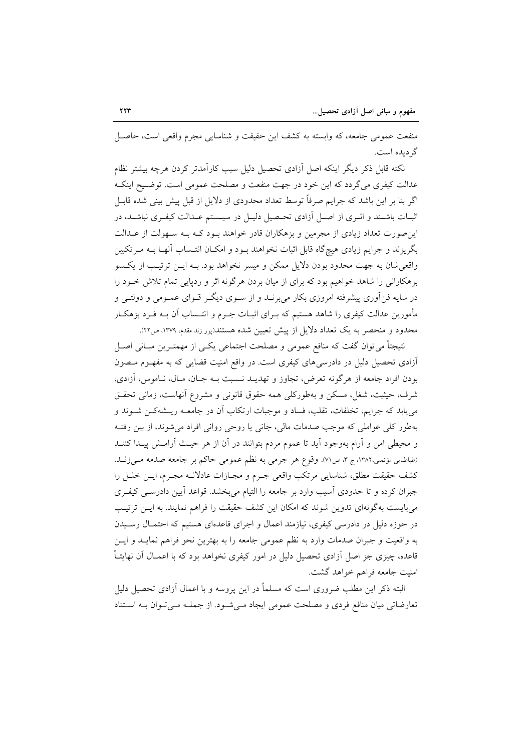منفعت عمومی جامعه، که وابسته به کشف این حقیقت و شناسایی مجرم واقعی است، حاصـل گر دیده است.

نکته قابل ذکر دیگر اینکه اصل آزادی تحصیل دلیل سبب کارآمدتر کردن هرچه بیشتر نظام عدالت کیفری میگردد که این خود در جهت منفعت و مصلحت عمومی است. توضـیح اینکـه اگر بنا بر این باشد که جرایم صرفاً توسط تعداد محدودی از دلایل از قبل پیش بینی شده قابـل اثبــات باشــند و اثــرى از اصــل آزادى تحــصيل دليــل در سيــستم عــدالت كيفــرى نباشــد، در این صورت تعداد زیادی از مجرمین و بزهکاران قادر خواهند بـود کـه بـه سـهولت از عـدالت بگریزند و جرایم زیادی هیچگاه قابل اثبات نخواهند بـود و امکـان انتـساب آنهـا بـه مـرتکبین واقعی شان به جهت محدود بودن دلایل ممکن و میسر نخواهد بود. بـه ایــن ترتیـب از یکـسو بزهکارانی را شاهد خواهیم بود که برای از میان بردن هرگونه اثر و ردپایی تمام تلاش خـود را در سایه فن[وری پیشرفته امروزی بکار می برنـد و از سـوی دیگـر قـوای عمـومی و دولتـی و مأمورین عدالت کیفری را شاهد هستیم که بــرای اثبــات جــرم و انتــساب آن بــه فــرد بزهکــار محدود و منحصر به یک تعداد دلایل از پیش تعیین شده هستند(پور زند مقدم، ۱۳۷۹، ص۲۲.

نتیجتاً می توان گفت که منافع عمومی و مصلحت اجتماعی یکسی از مهمتـرین مبـانی اصـل آزادی تحصیل دلیل در دادرسیهای کیفری است. در واقع امنیت قضایی که به مفهـوم مـصون بودن افراد جامعه از هرگونه تعرض، تجاوز و تهدیــد نــسبت بــه جــان، مــال، نــاموس، آزادی، شرف، حیثیت، شغل، مسکن و بهطورکلی همه حقوق قانونی و مشروع أنهاست، زمانی تحقـق می یابد که جرایم، تخلفات، تقلب، فساد و موجبات ارتکاب اَن در جامعــه ریــشهکــن شــوند و بهطور کلی عواملی که موجب صدمات مالی، جانی یا روحی روانی افراد میشوند، از بین رفتـه و محیطی امن و اَرام بهوجود اَید تا عموم مردم بتوانند در اَن از هر حیث اَرامــش پیــدا کننــد (طباطبايي مؤتمني،١٣٨٢، ج ٣، ص٧١). وقوع هر جرمي به نظم عمومي حاكم بر جامعه صدمه مـي(نـد. كشف حقيقت مطلق، شناسايي مرتكب واقعى جـرم و مجـازات عادلانــه مجـرم، ايــن خلــل را جبران کرده و تا حدودی اسیب وارد بر جامعه را التیام میبخشد. قواعد اًیین دادرسـی کیفـری می بایست بهگونهای تدوین شوند که امکان این کشف حقیقت را فراهم نمایند. به ایـن ترتیـب در حوزه دلیل در دادرسی کیفری، نیازمند اعمال و اجرای قاعدهای هستیم که احتمـال رسـیدن به واقعیت و جبران صدمات وارد به نظم عمومی جامعه را به بهترین نحو فراهم نمایـد و ایـن قاعده، چیزی جز اصل آزادی تحصیل دلیل در امور کیفری نخواهد بود که با اعمــال آن نهایتــاً امنیت جامعه فراهم خواهد گشت.

البته ذکر این مطلب ضروری است که مسلماً در این پروسه و با اعمال آزادی تحصیل دلیل تعارضاتی میان منافع فردی و مصلحت عمومی ایجاد می شود. از جملـه مـی تـوان بـه اسـتناد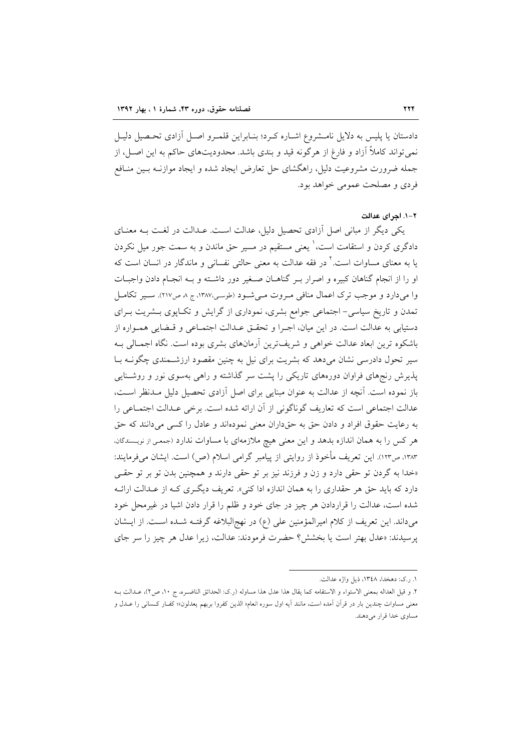دادستان یا پلیس به دلایل نامـشروع اشـاره کـرد؛ بنـابراین قلمـرو اصـل آزادی تحـصیل دلیـل نمي تواند كاملاً آزاد و فارغ از هرگونه قيد و بندي باشد. محدوديتهاي حاكم به اين اصـل، از جمله ضرورت مشروعیت دلیل، راهگشای حل تعارض ایجاد شده و ایجاد موازنـه بـین منـافع فردي و مصلحت عمومي خواهد بود.

#### ٢-١. احراى عدالت

یکی دیگر از مبانی اصل آزادی تحصیل دلیل، عدالت است. عــدالت در لغــت بــه معنــای دادگری کردن و استقامت است، ٰ یعنی مستقیم در مسیر حق ماندن و به سمت جور میل نکردن یا به معنای مساوات است.<sup>۲</sup> در فقه عدالت به معنی حالتی نفسانی و ماندگار در انسان است که او را از انجام گناهان کبیره و اصرار بـر گناهـان صـغیر دور داشـته و بـه انجـام دادن واجبـات وا میدارد و موجب ترک اعمال منافی مروت میشود (طوسی،۱۳۸۷، ج ۸ ص۲۱۷). سپر تکامل تمدن و تاریخ سیاسی- اجتماعی جوامع بشری، نموداری از گرایش و تکـاپوی بـشریت بـرای دستيابي به عدالت است. در اين ميان، اجـرا و تحقــق عــدالت اجتمــاعي و قــضايي همــواره از باشکوه ترین ابعاد عدالت خواهی و شریفترین آرمانهای بشری بوده است. نگاه اجمـالی بـه سیر تحول دادرسی نشان میدهد که بشریت برای نیل به چنین مقصود ارزشـمندی چگونــه بــا پذیرش رنجهای فراوان دورههای تاریکی را پشت سر گذاشته و راهی بهسوی نور و روشـنایی باز نموده است. آنچه از عدالت به عنوان مبنایی برای اصل آزادی تحصیل دلیل مـدنظر اسـت، عدالت اجتماعی است که تعاریف گوناگونی از آن ارائه شده است. برخی عـدالت اجتمـاعی را به رعایت حقوق افراد و دادن حق به حقداران معنی نمودهاند و عادل را کسی میدانند که حق هر کس را به همان اندازه بدهد و این معنی هیچ ملازمهای با مساوات ندارد (جمعی از نویسندگان، ١٣٨٣، ص١٢٣). اين تعريف مأخوذ از روايتي از پيامبر گرامي اسلام (ص) است. ايشان مي فرمايند: «خدا به گردن تو حقی دارد و زن و فرزند نیز بر تو حقی دارند و همچنین بدن تو بر تو حقـی دارد که باید حق هر حقداری را به همان اندازه ادا کنی». تعریف دیگری کـه از عـدالت ارائـه شده است، عدالت را قراردادن هر چیز در جای خود و ظلم را قرار دادن اشیا در غیرمحل خود میداند. این تعریف از کلام امیرالمؤمنین علی (ع) در نهج البلاغه گرفتـه شـده اسـت. از ایـشان يرسيدند: «عدل بهتر است يا بخشش؟ حضرت فرمودند: عدالت، زيرا عدل هر چيز را سر جاي

١. . .ک: دهخدا، ١٣٤٨، ذيل واژه عدالت.

٢. و قيل العداله بمعنى الاستواء و الاستقامه كما يقال هذا عدل هذا مساوله (رك: الحدائق الناضـره، ج ١٠، ص٢)، عــدالت بــه معنى مساوات چندين بار در قرآن آمده است، مانند آيه اول سوره انعام« الذين كفروا بربهم يعدلون»؛ كفـار كـساني را عــدل و مساوي خدا قرار ميدهند.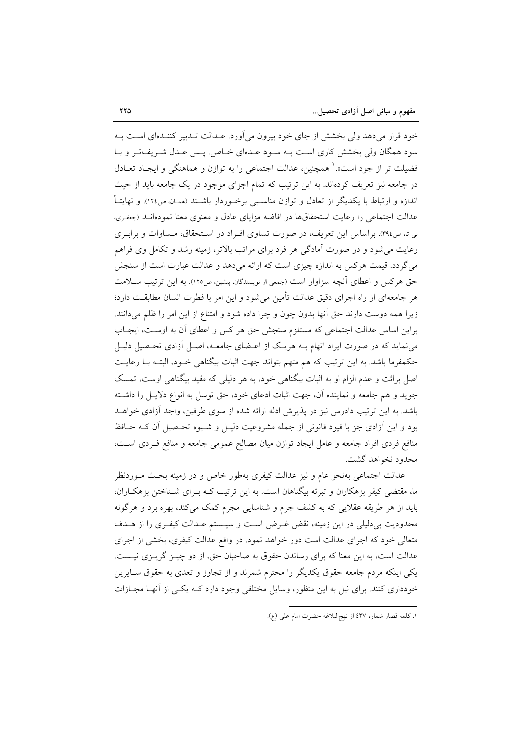خود قرار می دهد ولی بخشش از جای خود بیرون می آورد. عـدالت تـدبیر کننـدهای اسـت بـه سود همگان ولی بخشش کاری است بـه سـود عـدهای خـاص. پـس عـدل شـریفتـر و بـا فضیلت تر از جود است». همچنین، عدالت اجتماعی را به توازن و هماهنگی و ایجـاد تعــادل در جامعه نیز تعریف کردهاند. به این ترتیب که تمام اجزای موجود در یک جامعه باید از حیث اندازه و ارتباط با یکدیگر از تعادل و توازن مناسبی برخوردار باشـند (ممـان ص١٢٤). و نهایتـاً عدالت اجتماعی را رعایت استحقاقها در افاضه مزایای عادل و معنوی معنا نمودهانـد (جعفـری، بی تا، ص٣٩٤. براساس این تعریف، در صورت تساوی افـراد در اسـتحقاق، مـساوات و برابـری رعایت می شود و در صورت آمادگی هر فرد برای مراتب بالاتر، زمینه رشد و تکامل وی فراهم می گردد. قیمت هرکس به اندازه چیزی است که ارائه میدهد و عدالت عبارت است از سنجش حق هر كس و اعطاى آنچه سزاوار است (جمعي از نويسندگان، پيشين، ص١٢٥). به اين ترتيب ســلامت هر جامعهای از راه اجرای دقیق عدالت تأمین می شود و این امر با فطرت انسان مطابقت دارد؛ زیرا همه دوست دارند حق آنها بدون چون و چرا داده شود و امتناع از این امر را ظلم میدانند. براین اساس عدالت اجتماعی که مستلزم سنجش حق هر کس و اعطای آن به اوست، ایجاب می نماید که در صورت ایراد اتهام بـه هریـک از اعـضای جامعـه، اصـل آزادی تحـصیل دلیـل حکمفرما باشد. به این ترتیب که هم متهم بتواند جهت اثبات بیگناهی خـود، البتـه بـا رعایـت اصل برائت و عدم الزام او به اثبات بیگناهی خود، به هر دلیلی که مفید بیگناهی اوست، تمسک جوید و هم جامعه و نماینده آن، جهت اثبات ادعای خود، حق توسل به انواع دلایـل را داشـته باشد. به این ترتیب دادرس نیز در پذیرش ادله ارائه شده از سوی طرفین، واجد آزادی خواهـد بود و این آزادی جز با قیود قانونی از جمله مشروعیت دلیـل و شـیوه تحـصیل آن کـه حـافظ منافع فردی افراد جامعه و عامل ایجاد توازن میان مصالح عمومی جامعه و منافع فـردی اسـت، محدود نخواهد گشت.

عدالت اجتماعی بهنحو عام و نیز عدالت کیفری بهطور خاص و در زمینه بحـث مــوردنظر ما، مقتضی کیفر بزهکاران و تبرئه بیگناهان است. به این ترتیب کـه بـرای شـناختن بزهکـاران، باید از هر طریقه عقلایی که به کشف جرم و شناسایی مجرم کمک میکند، بهره برد و هرگونه محدودیت بی دلیلی در این زمینه، نقض غـرض اسـت و سیـستم عـدالت کیفـری را از هـدف متعالی خود که اجرای عدالت است دور خواهد نمود. در واقع عدالت کیفری، بخشی از اجرای عدالت است، به این معنا که برای رساندن حقوق به صاحبان حق، از دو چیـز گریـزی نیـست. یکی اینکه مردم جامعه حقوق یکدیگر را محترم شمرند و از تجاوز و تعدی به حقوق سـایرین خودداری کنند. برای نیل به این منظور، وسایل مختلفی وجود دارد کـه یکـی از آنهـا مجـازات

١. كلمه قصار شماره ٤٣٧ از نهجالبلاغه حضرت امام على (ع).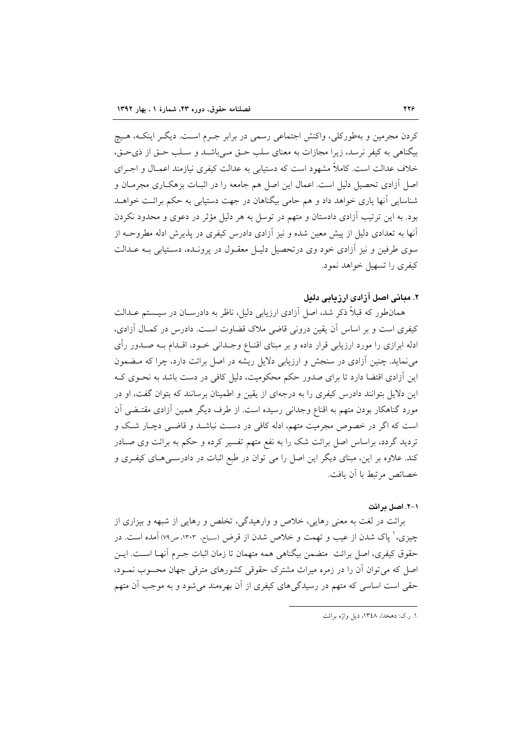کردن مجرمین و بهطورکلی، واکنش اجتماعی رسمی در برابر جـرم اسـت. دیگـر اینکـه، هـیچ بیگناهی به کیفر نرسد، زیرا مجازات به معنای سلب حـق مــ باشــد و سـلب حـق از ذی حـق، خلاف عدالت است. کاملاً مشهود است که دستیابی به عدالت کیفری نیازمند اعمـال و اجــرای اصل آزادی تحصیل دلیل است. اعمال این اصل هم جامعه را در اثبــات بزهکــاری مجرمــان و شناسایی آنها یاری خواهد داد و هم حامی بیگناهان در جهت دستیابی به حکم برائت خواهـد بود. به این ترتیب آزادی دادستان و متهم در توسل به هر دلیل مؤثر در دعوی و محدود نکردن آنها به تعدادی دلیل از پیش معین شده و نیز آزادی دادرس کیفری در پذیرش ادله مطروحـه از سوی طرفین و نیز آزادی خود وی درتحصیل دلیـل معقـول در پرونـده، دسـتیابی بـه عــدالت کیفری را تسهیل خواهد نمود.

## ۲. میانی اصل آزادی ارزیابی دلیل

همانطور که قبلاً ذکر شد، اصل آزادی ارزیابی دلیل، ناظر به دادرسـان در سیـستم عـدالت کیفری است و بر اساس آن یقین درونی قاضی ملاک قضاوت است. دادرس در کمـال آزادی، ادله ابرازی را مورد ارزیابی قرار داده و بر مبنای اقنــاع وجــدانی خــود، اقــدام بــه صــدور رأی می نماید. چنین آزادی در سنجش و ارزیابی دلایل ریشه در اصل برائت دارد، چرا که مـضمون این آزادی اقتضا دارد تا برای صدور حکم محکومیت، دلیل کافی در دست باشد به نحـوی کـه این دلایل بتوانند دادرس کیفری را به درجهای از یقین و اطمینان برسانند که بتوان گفت، او در مورد گناهکار بودن متهم به اقناع وجدانی رسیده است. از طرف دیگر همین آزادی مقتـضی آن است که اگر در خصوص مجرمیت متهم، ادله کافی در دست نباشـد و قاضـی دچـار شـک و تردید گردد، براساس اصل برائت شک را به نفع متهم تفسیر کرده و حکم به برائت وی صـادر کند. علاوه بر این، مبنای دیگر این اصل را می توان در طبع اثبات در دادرســیهـای کیفـری و خصائص مرتبط با آن بافت.

#### ١-٢. اصل در ائت

برائت در لغت به معنی رهایی، خلاص و وارهیدگی، تخلص و رهایی از شبهه و بیزاری از چیزی، ٰ پاک شدن از عیب و تهمت و خلاص شدن از قرض (سباح، ۱۳۰۳، ص۷۹) آمده است. در حقوق کبفری، اصل برائت ِ متضمن بیگناهی همه متهمان تا زمان اثبات جـرم آنهـا اسـت. ایــن اصل که می توان آن را در زمره میراث مشترک حقوقی کشورهای مترقی جهان محسوب نمـود، حقی است اساسی که متهم در رسیدگیهای کیفری از آن بهرهمند می شود و به موجب آن متهم

١. ر.ک: دهخدا، ١٣٤٨، ذيل واژه برائت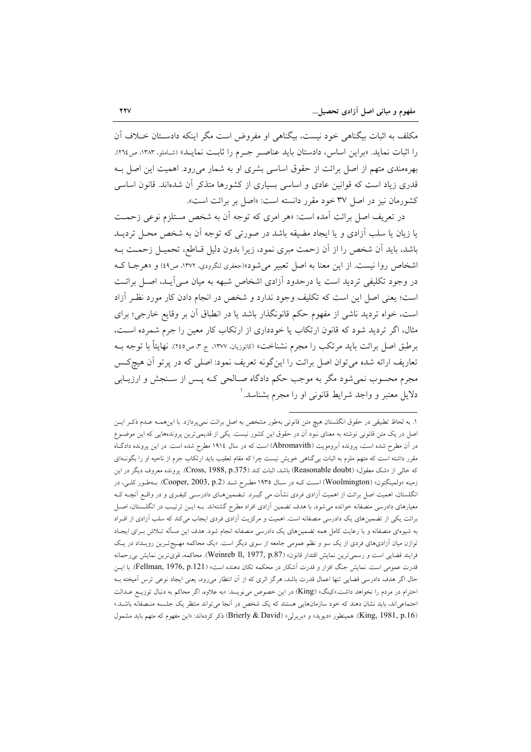مکلف به اثبات بیگناهی خود نیست، بیگناهی او مفروض است مگر اینکه دادسـتان خـلاف آن را اثبات نمايد. «براين اساس، دادستان بايد عناصـر جـرم را ثابـت نمايـد» (شـاملو، ١٣٨٣، ص٢٦٤). بهرهمندی متهم از اصل برائت از حقوق اساسی بشری او به شمار میرود. اهمیت این اصل بـه قدری زیاد است که قوانین عادی و اساسی بسیاری از کشورها متذکر آن شدهاند. قانون اساسی کشورمان نیز در اصل ۳۷ خود مقرر دانسته است: «اصل بر برائت است».

در تعریف اصل برائت آمده است: «هر امری که توجه آن به شخص مستلزم نوعی زحمت یا زیان یا سلب آزادی و یا ایجاد مضیقه باشد در صورتی که توجه آن به شخص محـل تردیــد باشد، باید آن شخص را از آن زحمت مبری نمود، زیرا بدون دلیل قـاطع، تحمیــل زحمــت بــه اشخاص روا نیست. از این معنا به اصل تعبیر می شود»(جعفری لنگرودی، ۱۳۷۲، ص٤٩) و «هرجـا کـه در وجود تکلیفی تردید است یا درحدود آزادی اشخاص شبهه به میان مـی]یـد، اصـل برائـت است؛ یعنی اصل این است که تکلیف وجود ندارد و شخص در انجام دادن کار مورد نظـر آزاد است، خواه تردید ناشی از مفهوم حکم قانونگذار باشد یا در انطباق آن بر وقایع خارجی؛ برای مثال، اگر تردید شود که قانون ارتکاب یا خودداری از ارتکاب کار معین را جرم شمرده است، برطبق اصل برائت بايد مرتكب را مجرم نشناخت» (كاتوزيان، ١٣٧٧، ج ٣، ص٢٤٥). نهايتاً با توجه بــه تعاریف ارائه شده می توان اصل برائت را اینگونه تعریف نمود: اصلی که در پرتو آن هیچکس مجرم محسوب نمي شود مگر به موجب حکم دادگاه صـالحي کـه پـس از سـنجش و ارزيـابي دلایل معتبر و واجد شرایط قانونی او را مجرم بشناسد. ٰ

١. به لحاظ تطبیقی در حقوق انگلستان هیچ متن قانونی بهطور مشخص به اصل برائت نمیپردازد. با این همـه عـدم ذکـر ایـن اصل در یک متن قانونی نوشته به معنای نبود آن در حقوق این کشور نیست. یکی از قدیمیترین پروندههایی که این موضـوع در آن مطرح شده است، پرونده آبرومویت (Abromavith) است که در سال ۱۹۱٤ مطرح شده است. در این پرونده دادگIه مقرر داشته است که متهم ملزم به اثبات بی گناهی خویش نیست چرا که مقام تعقیب باید ارتکاب جرم از ناحیه او را بگونـهای كه خالي از «شك معقول» (Reasonable doubt) باشد، اثبات كند (Cross, 1988, p.375). پرونده معروف ديگر در اين زمینه «ولمینگتون» (Woolmington) است کـه در سـال ۱۹۳۵ مطـرح شـد (Cooper, 2003, p.2). بــهطـور کلــی، در انگلستان، اهمیت اصل برائت از اهمیت آزادی فردی نشأت می گیـرد. تـضمینهـای دادرســی کیفـری و در واقــع اَنچـه کـه معیارهای دادرسی منصفانه خوانده می شود، با هدف تضمین آزادی افراد مطرح گشتهاند. بـه ایــن ترتیـب در انگلــستان، اصـل برائت یکی از تضمینهای یک دادرسی منصفانه است. اهمیت و مرکزیت آزادی فردی ایجاب میکند که سلب آزادی از افـراد به شیوهای منصفانه و با رعایت کامل همه تضمینهای یک دادرسی منصفانه انجام شود. هدف این مسأله تـلاش بـرای ایجـاد توازن میان آزادیهای فردی از یک سو و نظم عمومی جامعه از سوی دیگر است. «یک محاکمه مهیجترین رویـداد در یـک فرايند قضايي است و رسمي ترين نمايش اقتدار قانون» (Weinreb ll, 1977, p.87). محاكمه، قوى ترين نمايش بي رحمانه قدرت عمومی است. نمایش جنگ افزار و قدرت آشکار در محکمه تکان دهنده است» (Fellman, 1976, p.121). با ایـن حال اگر هدف دادرسی قضایی تنها اعمال قدرت باشد، هرگز اثری که از آن انتظار میرود، یعنی ایجاد نوعی ترس آمیخته بـه احترام در مردم را نخواهد داشت.«کینگ» (King) در این خصوص می نویسد: «به علاوه، اگر محاکم به دنبال توزیـع عـدالت اجتماعیاند، باید نشان دهند که خود سازمانهایی هستند که یک شخص در آنجا میتواند منتظر یک جلسه منصفانه باشـد.» (King, 1981, p.16). هممينطور «ديويد» و «بريرلي» (Brierly & David) ذكر كردهاند: «اين مفهوم كه متهم بايد مشمول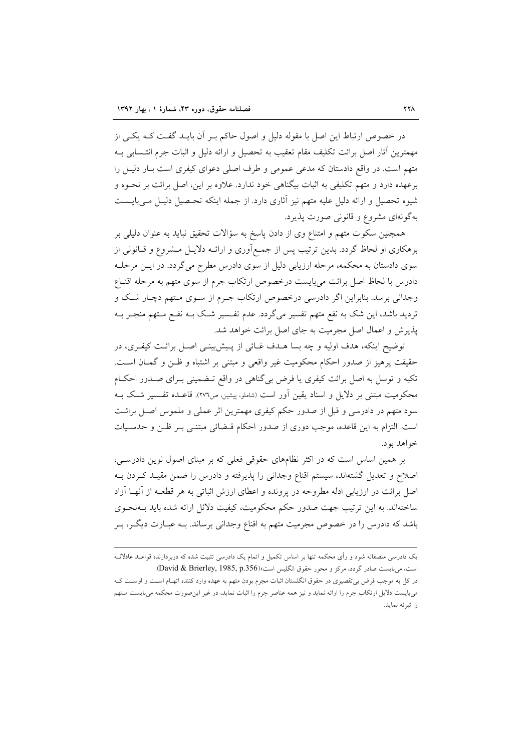در خصوص ارتباط این اصل با مقوله دلیل و اصول حاکم بـر آن بایــد گفــت کــه یکــی از مهمترين أثار اصل برائت تكليف مقام تعقيب به تحصيل و ارائه دليل و اثبات جرم انتــسابي بــه متهم است. در واقع دادستان که مدعی عمومی و طرف اصلی دعوای کیفری است بـار دلیـل را برعهده دارد و متهم تکلیفی به اثبات بیگناهی خود ندارد. علاوه بر این، اصل برائت بر نحـوه و شیوه تحصیل و ارائه دلیل علیه متهم نیز آثاری دارد. از جمله اینکه تحـصیل دلیـل مـی،بایــست بهگونهای مشروع و قانونی صورت پذیرد.

همچنین سکوت متهم و امتناع وی از دادن پاسخ به سؤالات تحقیق نباید به عنوان دلیلی بر بزهکاری او لحاظ گردد. بدین ترتیب پس از جمعآوری و ارائـه دلایـل مـشروع و قـانونی از سوی دادستان به محکمه، مرحله ارزیابی دلیل از سوی دادرس مطرح میگردد. در ایـن مرحلـه دادرس با لحاظ اصل برائت مىبايست درخصوص ارتكاب جرم از سوى متهم به مرحله اقنـاع وجدانی برسد. بنابراین اگر دادرسی درخصوص ارتکاب جـرم از سـوی مـتهم دچـار شـک و تردید باشد، این شک به نفع متهم تفسیر میگردد. عدم تفــسیر شــک بــه نفــع مــتهم منجــر بــه پذیرش و اعمال اصل مجرمیت به جای اصل برائت خواهد شد.

توضيح اينكه، هدف اوليه و چه بسا هـدف غـائي از پـيش،ينـي اصـل برائـت كيفـرى، در حقيقت پرهيز از صدور احكام محكوميت غير واقعى و مبتنى بر اشتباه و ظـن و گمـان اسـت. تکیه و توسل به اصل برائت کیفری یا فرض بی گناهی در واقع تـضمینی بـرای صـدور احکـام محکومیت مبتنی بر دلایل و اسناد یقین آور است (شاملو، پیشین، ص۲۷٦). قاعـده تفـسیر شـک بـه سود متهم در دادرسی و قبل از صدور حکم کیفری مهمترین اثر عملی و ملموس اصل برائت است. التزام به این قاعده، موجب دوری از صدور احکام قبضائی مبتنبی بـر ظـن و حدسـیات خواهد بود.

بر همین اساس است که در اکثر نظامهای حقوقی فعلی که بر مبنای اصول نوین دادرسی، اصلاح و تعدیل گشتهاند، سیستم اقناع وجدانی را پذیرفته و دادرس را ضمن مقیـد کــردن بــه اصل برائت در ارزیابی ادله مطروحه در پرونده و اعطای ارزش اثباتی به هر قطعـه از آنهـا آزاد ساختهاند. به این ترتیب جهت صدور حکم محکومیت، کیفیت دلائل ارائه شده باید بـهنحـوی باشد که دادرس را در خصوص مجرمیت متهم به اقناع وجدانی برساند. بـه عبــارت دیگــر، بــر

یک دادرسی منصفانه شود و رأی محکمه تنها بر اساس تکمیل و اتمام یک دادرسی تثبیت شده که دربردارنده قواعـد عادلانــه است، می بایست صادر گردد، مرکز و محور حقوق انگلیس است، David & Brierley, 1985, p.356). در کل به موجب فرض بی تقصیری در حقوق انگلستان اثبات مجرم بودن متهم به عهده وارد کننده اتهـام اسـت و اوسـت کـه میبایست دلایل ارتکاب جرم را ارائه نماید و نیز همه عناصر جرم را اثبات نماید، در غیر این صورت محکمه میبایست مـتهم را تبرئه نمايد.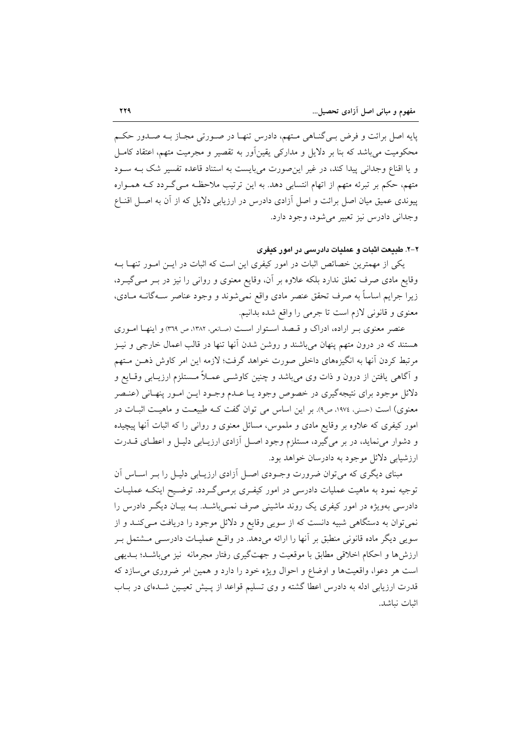پایه اصل برائت و فرض بـی گنـاهی مـتهم، دادرس تنهـا در صـورتی مجـاز بـه صـدور حکـم محکومیت می باشد که بنا بر دلایل و مدارکی یقینآور به تقصیر و مجرمیت متهم، اعتقاد کامـل و یا اقناع وجدانی پیدا کند، در غیر این صورت می بایست به استناد قاعده تفسیر شک بـه سـود متهم، حکم بر تبرئه متهم از اتهام انتسابی دهد. به این ترتیب ملاحظـه مـیگـردد کـه همـواره پیوندی عمیق میان اصل برائت و اصل آزادی دادرس در ارزیابی دلایل که از آن به اصل اقنـاع وجداني دادرس نيز تعبير مي شود، وجود دارد.

۲-۲. طبیعت اثبات و عملیات دادرسی در امور کیفری

یکی از مهمترین خصائص اثبات در امور کیفری این است که اثبات در ایــن امــور تنهــا بــه وقایع مادی صرف تعلق ندارد بلکه علاوه بر آن، وقایع معنوی و روانی را نیز در بـر مـی گیـرد، زیرا جرایم اساساً به صرف تحقق عنصر مادی واقع نمیشوند و وجود عناصر سـهگانــه مــادی، معنوی و قانونی لازم است تا جرمی را واقع شده بدانیم.

عنصر معنوی بـر اراده، ادراک و قـصد اسـتوار اسـت (صانعی، ١٣٨٢، ص ٣٦٩) و اينهـا امـوري هستند که در درون متهم پنهان میباشند و روشن شدن آنها تنها در قالب اعمال خارجی و نیـز مرتبط کردن اّنها به انگیزههای داخلی صورت خواهد گرفت؛ لازمه این امر کاوش ذهــن مــتهم و آگاهی یافتن از درون و ذات وی میباشد و چنین کاوشـی عمــلاً مــستلزم ارزیــابی وقــایع و دلائل موجود برای نتیجهگیری در خصوص وجود یـا عــدم وجــود ایــن امــور پنهــانی (عنـصر معنوی) است (حسنی، ۱۹۷۶، ص۹). بر این اساس می توان گفت کـه طبیعـت و ماهیـت اثبـات در امور کیفری که علاوه بر وقایع مادی و ملموس، مسائل معنوی و روانی را که اثبات آنها پیچیده و دشوار می نماید، در بر میگیرد، مستلزم وجود اصل آزادی ارزیـابی دلیـل و اعطـای قــدرت ارز شیابی دلائل موجود به دادرسان خواهد بود.

مبنای دیگری که میتوان ضرورت وجـودی اصـل آزادی ارزیـابی دلیـل را بـر اسـاس آن توجیه نمود به ماهیت عملیات دادرسی در امور کیفـری برمـیگـردد. توضـیح اینکـه عملیـات دادرسی بهویژه در امور کیفری یک روند ماشینی صرف نمـیباشـد. بـه بیـان دیگـر دادرس را نمی توان به دستگاهی شبیه دانست که از سویی وقایع و دلائل موجود را دریافت مـیکنـد و از سویی دیگر ماده قانونی منطبق بر آنها را ارائه میدهد. در واقـع عملیــات دادرســی مــشتمل بــر ارزشها و احکام اخلاقی مطابق با موقعیت و جهتگیری رفتار مجرمانه نیز می باشـد؛ بــدیهی است هر دعوا، واقعیتها و اوضاع و احوال ویژه خود را دارد و همین امر ضروری می سازد که قدرت ارزیابی ادله به دادرس اعطا گشته و وی تسلیم قواعد از پـیش تعیـین شـدهای در بـاب اثبات نباشد.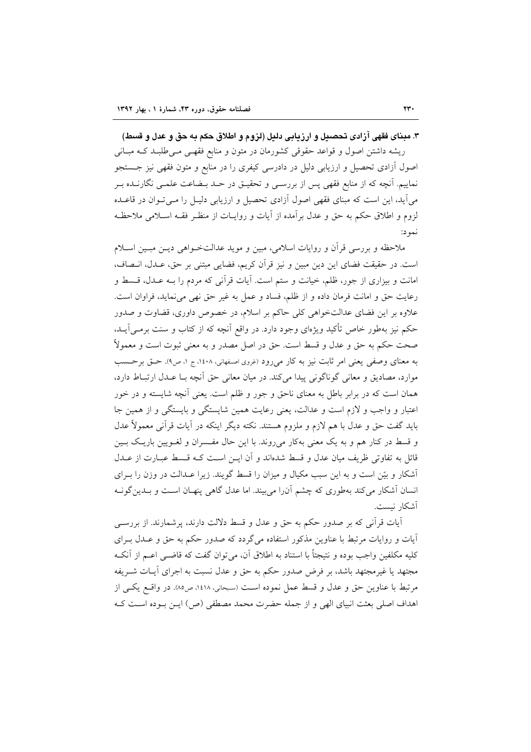۳. مبنای فقهی آزادی تحصبیل و ارزیابی دلیل (لزوم و اطلاق حکم به حق و عدل و قسط) ریشه داشتن اصول و قواعد حقوقی کشورمان در متون و منابع فقهـی مـی طلبـد کـه مبـانی اصول اَزادی تحصیل و ارزیابی دلیل در دادرسی کیفری را در منابع و متون فقهی نیز جــستجو نماییم. آنچه که از منابع فقهی پس از بررسـی و تحقیـق در حــد بــضاعت علمــی نگارنــده بــر می آید، این است که مبنای فقهی اصول آزادی تحصیل و ارزیابی دلیـل را مـی تـوان در قاعــده لزوم و اطلاق حکم به حق و عدل برآمده از آیات و روایـات از منظـر فقــه اســلامی ملاحظـه نمو د:

ملاحظه و بررسی قرأن و روایات اسلامی، مبین و موید عدالتخــواهی دیــن مبــین اســلام است. در حقیقت فضای این دین مبین و نیز قرآن کریم، فضایی مبتنی بر حق، عـدل، انـصاف، امانت و بیزاری از جور، ظلم، خیانت و ستم است. آیات قرآنی که مردم را بــه عــدل، قــسط و رعايت حق و امانت فرمان داده و از ظلم، فساد و عمل به غير حق نهي مي نمايد، فراوان است. علاوه بر این فضای عدالتخواهی کلی حاکم بر اسلام، در خصوص داوری، قضاوت و صدور حکم نیز بهطور خاص تأکید ویژهای وجود دارد. در واقع آنچه که از کتاب و سنت برمـی]یــد، صحت حکم به حق و عدل و قسط است. حق در اصل مصدر و به معنی ثبوت است و معمولاً به معنای وصفی یعنی امر ثابت نیز به کار میرود (غروی اصفهانی، ۱۶۰۸، ج ۱، ص۹). حتی برحسب موارد، مصادیق و معانی گوناگونی پیدا میکند. در میان معانی حق اّنچه بـا عـدل ارتبـاط دارد، همان است که در برابر باطل به معنای ناحق و جور و ظلم است. یعنی آنچه شایسته و در خور اعتبار و واجب و لازم است و عدالت، یعنی رعایت همین شایستگی و بایستگی و از همین جا باید گفت حق و عدل با هم لازم و ملزوم هستند. نکته دیگر اینکه در آیات قرآنی معمولاً عدل و قسط در کنار هم و به یک معنی بهکار میروند. با این حال مفسران و لغـویین باریـک بـین قائل به تفاوتی ظریف میان عدل و قسط شدهاند و آن ایـن اسـت کـه قـسط عبـارت از عــدل آشکار و بیّن است و به این سبب مکیال و میزان را قسط گویند. زیرا عــدالت در وزن را بــرای انسان آشکار میکند بهطوری که چشم آنرا می بیند. اما عدل گاهی پنهـان اسـت و بـدین گونـه آشكار نىست.

آیات قرآنی که بر صدور حکم به حق و عدل و قسط دلالت دارند، پرشمارند. از بررسبی آیات و روایات مرتبط با عناوین مذکور استفاده میگردد که صدور حکم به حق و عـدل بـرای كليه مكلفين واجب بوده و نتيجتاً با استناد به اطلاق آن، ميتوان گفت كه قاضـي اعـم از آنكـه مجتهد یا غیر مجتهد باشد، بر فرض صدور حکم به حق و عدل نسبت به اجرای آیــات شــریفه مرتبط با عناوين حق و عدل و قسط عمل نموده است (سبحاني، ١٤١٨، ص١٨). در واقع يكبي از اهداف اصلی بعثت انبیای الهی و از جمله حضرت محمد مصطفی (ص) ایــن بــوده اســت کــه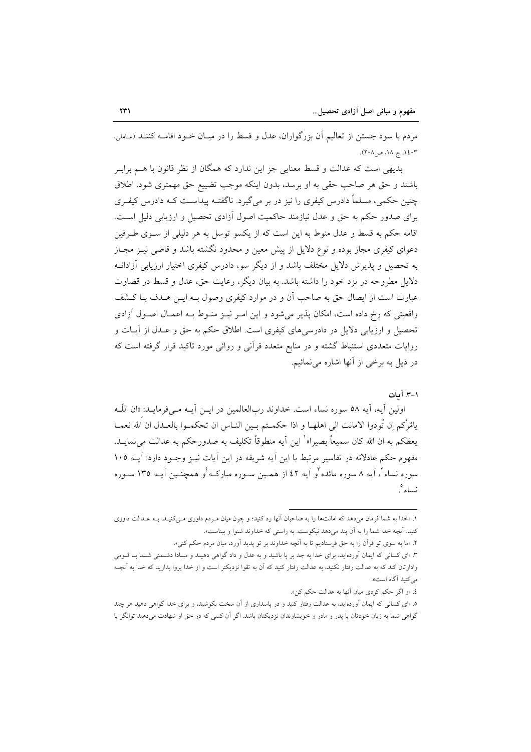مردم با سود جستن از تعالیم آن بزرگواران، عدل و قسط را در میـان خـود اقامــه کننــد (عـاملي،  $(5.1)$  ج ١٨، ص ٢٠٨).

بدیهی است که عدالت و قسط معنایی جز این ندارد که همگان از نظر قانون با هـم برابـر باشند و حق هر صاحب حقی به او برسد، بدون اینکه موجب تضییع حق مهمتری شود. اطلاق چنین حکمی، مسلماً دادرس کیفری را نیز در بر میگیرد. ناگفتـه پیداسـت کــه دادرس کیفـری برای صدور حکم به حق و عدل نیازمند حاکمیت اصول آزادی تحصیل و ارزیابی دلیل است. اقامه حکم به قسط و عدل منوط به این است که از یکسو توسل به هر دلیلی از سـوی طـرفین دعوای کیفری مجاز بوده و نوع دلایل از پیش معین و محدود نگشته باشد و قاضی نیـز مجـاز به تحصیل و پذیرش دلایل مختلف باشد و از دیگر سو، دادرس کیفری اختیار ارزیابی آزادانــه دلایل مطروحه در نزد خود را داشته باشد. به بیان دیگر، رعایت حق، عدل و قسط در قضاوت عبارت است از ایصال حق به صاحب آن و در موارد کیفری وصول بـه ایــن هــدف بــا کــشف واقعیتی که رخ داده است، امکان پذیر می شود و این امـر نیـز منـوط بـه اعمـال اصـول آزادی تحصیل و ارزیابی دلایل در دادرسیهای کیفری است. اطلاق حکم به حق و عـدل از آیــات و روایات متعددی استنباط گشته و در منابع متعدد قرآنی و روائی مورد تاکید قرار گرفته است که در ذیل به برخی از آنها اشاره می نمائیم.

۰۱–۳. آمات

اولين آيه، آيه ٥٨ سوره نساء است. خداوند ربالعالمين در ايــن آيــه مــي فرمايــد: »ان اللّــه يامُرُكم إن تُودوا الامانت الى اهلهــا و اذا حكمـتم بــين النــاس ان تحكمــوا بالعــدل ان الله نعمــا يعظكم به ان الله كان سميعاً بصيرا» ٰ اين أيه منطوقاً تكليف به صدورحكم به عدالت مي نمايــد. مفهوم حکم عادلانه در تفاسیر مرتبط با این آیه شریفه در این آیات نیـز وجـود دارد: آیـه ۱۰۵ سوره نساء ً، آیه ۸ سوره مائده ًو آیه ٤٢ از همـین سـوره مبارکـه ٔو همچنـین آیــه ١٣٥ سـوره نساء '

٤. «و اگر حکم کردی میان آنها به عدالت حکم کن».

۱. «خدا به شما فرمان میدهد که امانتها را به صاحبان آنها رد کنید؛ و چون میان مـردم داوری مـیکنیـد، بـه عـدالت داوری کنید. آنچه خدا شما را به آن پند میدهد نیکوست. به راستی که خداوند شنوا و بیناست».

٢. «ما به سوى تو قرآن را به حق فرستاديم تا به أنچه خداوند بر تو يديد أورد، ميان مردم حكم كني».

۳. «ای کسانی که ایمان اَوردهاید، برای خدا به جد بر پا باشید و به عدل و داد گواهی دهیـد و مبـادا دشـمنی شـما بـا قــومی وادارتان کند که به عدالت رفتار نکنید، به عدالت رفتار کنید که آن به تقوا نزدیکتر است و از خدا پروا بدارید که خدا به اَنچـه می کنید آگاه است».

۰. «ای کسانی که ایمان آوردهاید، به عدالت رفتار کنید و در پاسداری از آن سخت بکوشید، و برای خدا گواهی دهید هر چند گواهی شما به زیان خودتان یا پدر و مادر و خویشاوندان نزدیکتان باشد. اگر آن کسی که در حق او شهادت میدهید توانگر یا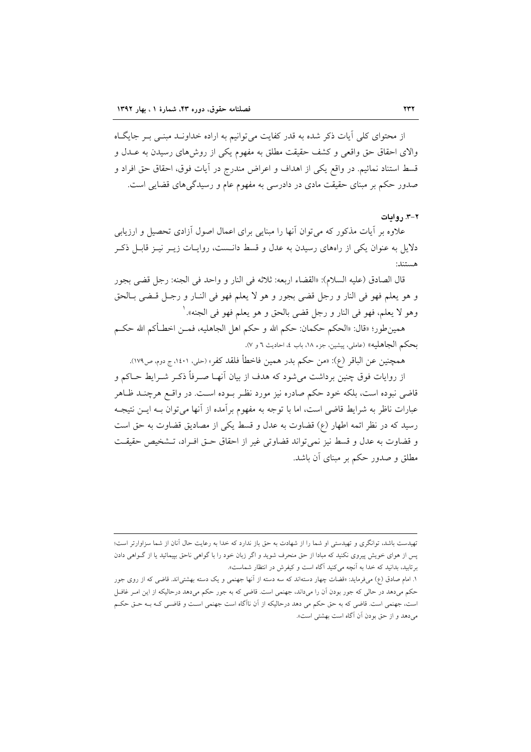از محتوای کلی آیات ذکر شده به قدر کفایت می توانیم به اراده خداونـد مبنـی بـر جایگـاه والای احقاق حق واقعی و کشف حقیقت مطلق به مفهوم یکی از روش های رسیدن به عــدل و قسط استناد نمائيم. در واقع يكي از اهداف و اعراض مندرج در آيات فوق، احقاق حق افراد و صدور حکم بر مبنای حقیقت مادی در دادرسی به مفهوم عام و رسیدگی های قضایی است.

#### ۲-۳. روایات

علاوه بر آیات مذکور که می توان آنها را مبنایی برای اعمال اصول آزادی تحصیل و ارزیابی دلایل به عنوان یکی از راههای رسیدن به عدل و قسط دانــست، روایــات زیــر نیــز قابــل ذکــر هستند:

قال الصادق (عليه السلام): «القضاء اربعه: ثلاثه في النار و واحد في الجنه: رجل قضي بجور و هو يعلم فهو في النار و رجل قضي بجور و هو لا يعلم فهو في النـار و رجـل قـضي بـالحق وهو لا يعلم، فهو في النار و رجل قضي بالحق و هو يعلم فهو في الجنه». `

همين طور؛ «قال: «الحكم حكمان: حكم الله و حكم اهل الجاهليه، فمـــز اخطــأكم الله حكــم بحكم الجاهليه» (عاملي، پيشين، جزء ١٨، باب ٤، احاديث ٦ و ٧).

همچنين عن الباقر (ع): «من حكم بدر همين فاخطأ فلقد كفر» (حلي، ١٤٠١، ج دوم، ص١٧٩).

از روایات فوق چنین برداشت می شود که هدف از بیان آنهـا صـرفاً ذکـر شـرایط حــاکم و قاضی نبوده است، بلکه خود حکم صادره نیز مورد نظـر بــوده اســت. در واقــع هرچنــد ظــاهر عبارات ناظر به شرایط قاضی است، اما با توجه به مفهوم برآمده از آنها می توان بــه ایــن نتیجــه رسيد كه در نظر ائمه اطهار (ع) قضاوت به عدل و قسط يكي از مصاديق قضاوت به حق است و قضاوت به عدل و قسط نیز نمی تواند قضاوتی غیر از احقاق حـق افـراد، تـشخیص حقیقـت مطلق و صدور حکم بر مبنای آن باشد.

تهیدست باشد، توانگری و تهیدستی او شما را از شهادت به حق باز ندارد که خدا به رعایت حال آنان از شما سزاوارتر است؛ یس از هوای خویش پیروی نکنید که مبادا از حق منحرف شوید و اگر زبان خود را با گواهی ناحق بییمائید یا از گــواهی دادن برتابید، بدانید که خدا به آنچه میکنید آگاه است و کیفرش در انتظار شماست».

١. امام صادق (ع) میفرماید: «قضات چهار دستهاند که سه دسته از آنها جهنمی و یک دسته بهشتی|ند. قاضی که از روی جور حکم میدهد در حالی که جور بودن آن را میداند، جهنمی است. قاضی که به جور حکم میدهد درحالیکه از این امـر غافـل است، جهنمی است. قاضی که به حق حکم می دهد درحالیکه از آن ناآگاه است جهنمی است و قاضـی کـه بـه حـق حکـم میدهد و از حق بودن آن آگاه است بهشتی است».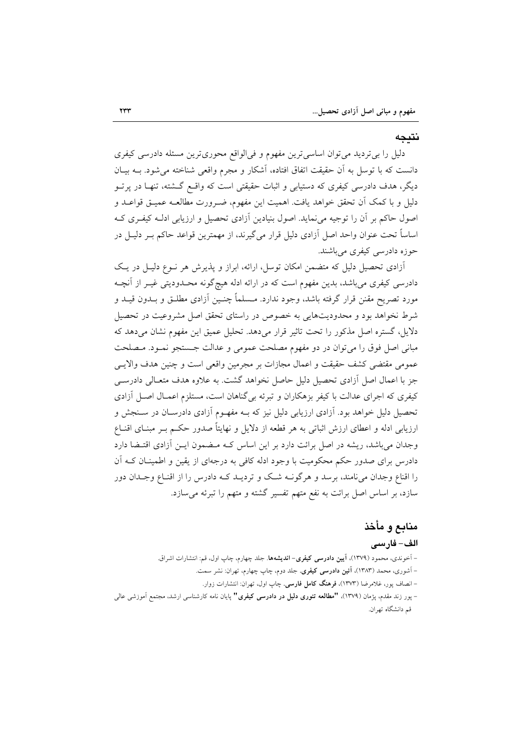### نتىحە

دلیل را بی تردید می توان اساسی ترین مفهوم و فی الواقع محوری ترین مسئله دادرسی کیفری دانست که با توسل به اَن حقیقت اتفاق افتاده، اَشکار و مجرم واقعی شناخته میشود. بــه بیــان دیگر، هدف دادرسی کیفری که دستیابی و اثبات حقیقتی است که واقــع گـــشته، تنهــا در پرتــو دلیل و با کمک آن تحقق خواهد یافت. اهمیت این مفهوم، ضـرورت مطالعـه عمیــق قواعــد و اصول حاکم بر آن را توجیه می نماید. اصول بنیادین آزادی تحصیل و ارزیابی ادلـه کیفـری کـه اساساً تحت عنوان واحد اصل آزادی دلیل قرار میگیرند، از مهمترین قواعد حاکم بــر دلیــل در حوزہ دادرسی کیفری مے باشند.

آزادی تحصیل دلیل که متضمن امکان توسل، ارائه، ابراز و پذیرش هر نـوع دلیـل در یـک دادرسی کیفری میباشد، بدین مفهوم است که در ارائه ادله هیچگونه محـدودیتی غیـر از آنچـه مورد تصریح مقنن قرار گرفته باشد، وجود ندارد. مــسلماً چنــین اَزادی مطلــق و بــدون قیــد و شرط نخواهد بود و محدودیتهایی به خصوص در راستای تحقق اصل مشروعیت در تحصیل دلایل، گستره اصل مذکور را تحت تاثیر قرار میدهد. تحلیل عمیق این مفهوم نشان میدهد که مباني اصل فوق را مي توان در دو مفهوم مصلحت عمومي و عدالت جـستجو نمـود. مـصلحت عمومي مقتضى كشف حقيقت و اعمال مجازات بر مجرمين واقعى است و چنين هدف والايـبي جز با اعمال اصل آزادی تحصیل دلیل حاصل نخواهد گشت. به علاوه هدف متعـالی دادرســی کیفری که اجرای عدالت با کیفر بزهکاران و تبرئه بی گناهان است، مستلزم اعمـال اصـل آزادی تحصیل دلیل خواهد بود. آزادی ارزیابی دلیل نیز که بـه مفهـوم آزادی دادرسـان در سـنجش و ارزیابی ادله و اعطای ارزش اثباتی به هر قطعه از دلایل و نهایتاً صدور حکـم بـر مبنـای اقنـاع وجدان می باشد، ریشه در اصل برائت دارد بر این اساس کـه مـضمون ایـن آزادی اقتـضا دارد دادرس برای صدور حکم محکومیت با وجود ادله کافی به درجهای از یقین و اطمینـان کــه آن را اقناع وجدان می نامند، برسد و هرگونــه شــک و تردیــد کــه دادرس را از اقنــاع وجــدان دور سازد، بر اساس اصل برائت به نفع متهم تفسیر گشته و متهم را تبرئه می سازد.

# منابع و مأخذ

# الف– فارسى

– آخوندی، محمود (۱۳۷۹)، **آیین دادرسی کیفری– اندیشهها**. جلد چهارم، چاپ اول، قم: انتشارات اشراق. – آشوری، محمد (۱۳۸۳)، **آئین دادرسی کیفری**. جلد دوم، چاپ چهارم، تهران: نشر سمت. – انصاف پور، غلامرضا (۱۳۷۳)، **فرهنگ کامل فارسی**. چاپ اول، تهران: انتشارات زوار. – پور زند مقدم، پژمان (۱۳۷۹)، **"مطالعه تئوری دلیل در دادرسی کیفری"** پایان نامه کارشناسی ارشد، مجتمع اَموزشی عالی قم دانشگاه تهران.